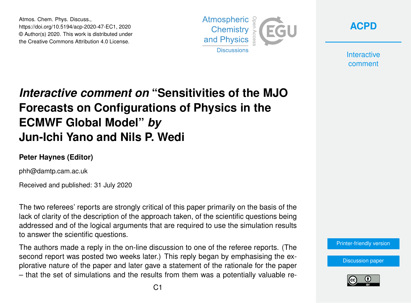Atmos. Chem. Phys. Discuss., https://doi.org/10.5194/acp-2020-47-EC1, 2020 © Author(s) 2020. This work is distributed under the Creative Commons Attribution 4.0 License.



**[ACPD](https://www.atmos-chem-phys-discuss.net/)**

**Interactive** comment

# *Interactive comment on* **"Sensitivities of the MJO Forecasts on Configurations of Physics in the ECMWF Global Model"** *by* **Jun-Ichi Yano and Nils P. Wedi**

## **Peter Haynes (Editor)**

phh@damtp.cam.ac.uk

Received and published: 31 July 2020

The two referees' reports are strongly critical of this paper primarily on the basis of the lack of clarity of the description of the approach taken, of the scientific questions being addressed and of the logical arguments that are required to use the simulation results to answer the scientific questions.

The authors made a reply in the on-line discussion to one of the referee reports. (The second report was posted two weeks later.) This reply began by emphasising the explorative nature of the paper and later gave a statement of the rationale for the paper – that the set of simulations and the results from them was a potentially valuable re[Printer-friendly version](https://www.atmos-chem-phys-discuss.net/acp-2020-47/acp-2020-47-EC1-print.pdf)

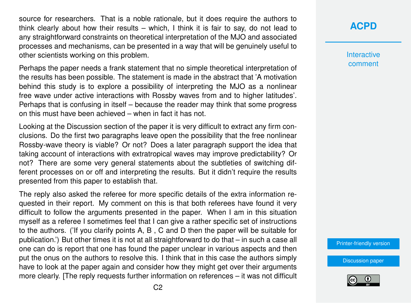source for researchers. That is a noble rationale, but it does require the authors to think clearly about how their results – which, I think it is fair to say, do not lead to any straightforward constraints on theoretical interpretation of the MJO and associated processes and mechanisms, can be presented in a way that will be genuinely useful to other scientists working on this problem.

Perhaps the paper needs a frank statement that no simple theoretical interpretation of the results has been possible. The statement is made in the abstract that 'A motivation behind this study is to explore a possibility of interpreting the MJO as a nonlinear free wave under active interactions with Rossby waves from and to higher latitudes'. Perhaps that is confusing in itself – because the reader may think that some progress on this must have been achieved – when in fact it has not.

Looking at the Discussion section of the paper it is very difficult to extract any firm conclusions. Do the first two paragraphs leave open the possibility that the free nonlinear Rossby-wave theory is viable? Or not? Does a later paragraph support the idea that taking account of interactions with extratropical waves may improve predictability? Or not? There are some very general statements about the subtleties of switching different processes on or off and interpreting the results. But it didn't require the results presented from this paper to establish that.

The reply also asked the referee for more specific details of the extra information requested in their report. My comment on this is that both referees have found it very difficult to follow the arguments presented in the paper. When I am in this situation myself as a referee I sometimes feel that I can give a rather specific set of instructions to the authors. ('If you clarify points A, B , C and D then the paper will be suitable for publication.') But other times it is not at all straightforward to do that – in such a case all one can do is report that one has found the paper unclear in various aspects and then put the onus on the authors to resolve this. I think that in this case the authors simply have to look at the paper again and consider how they might get over their arguments more clearly. [The reply requests further information on references – it was not difficult **[ACPD](https://www.atmos-chem-phys-discuss.net/)**

**Interactive** comment

[Printer-friendly version](https://www.atmos-chem-phys-discuss.net/acp-2020-47/acp-2020-47-EC1-print.pdf)

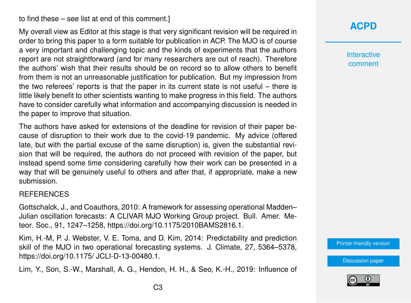### to find these – see list at end of this comment.]

My overall view as Editor at this stage is that very significant revision will be required in order to bring this paper to a form suitable for publication in ACP. The MJO is of course a very important and challenging topic and the kinds of experiments that the authors report are not straightforward (and for many researchers are out of reach). Therefore the authors' wish that their results should be on record so to allow others to benefit from them is not an unreasonable justification for publication. But my impression from the two referees' reports is that the paper in its current state is not useful – there is little likely benefit to other scientists wanting to make progress in this field. The authors have to consider carefully what information and accompanying discussion is needed in the paper to improve that situation.

The authors have asked for extensions of the deadline for revision of their paper because of disruption to their work due to the covid-19 pandemic. My advice (offered late, but with the partial excuse of the same disruption) is, given the substantial revision that will be required, the authors do not proceed with revision of the paper, but instead spend some time considering carefully how their work can be presented in a way that will be genuinely useful to others and after that, if appropriate, make a new submission.

#### REFERENCES

Gottschalck, J., and Coauthors, 2010: A framework for assessing operational Madden– Julian oscillation forecasts: A CLIVAR MJO Working Group project. Bull. Amer. Meteor. Soc., 91, 1247–1258, https://doi.org/10.1175/2010BAMS2816.1.

Kim, H.-M, P. J. Webster, V. E. Toma, and D. Kim, 2014: Predictability and prediction skill of the MJO in two operational forecasting systems. J. Climate, 27, 5364–5378, https://doi.org/10.1175/ JCLI-D-13-00480.1.

Lim, Y., Son, S.-W., Marshall, A. G., Hendon, H. H., & Seo, K.-H., 2019: Influence of

## **[ACPD](https://www.atmos-chem-phys-discuss.net/)**

**Interactive** comment

[Printer-friendly version](https://www.atmos-chem-phys-discuss.net/acp-2020-47/acp-2020-47-EC1-print.pdf)